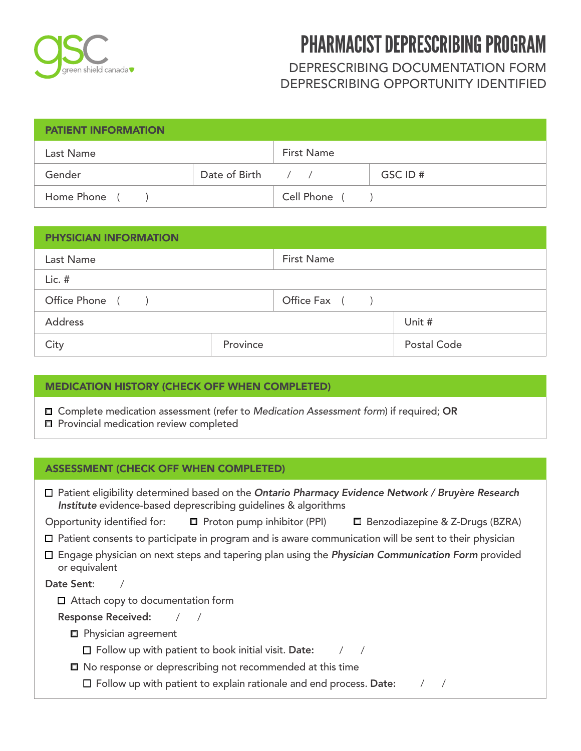

# DEPRESCRIBING DOCUMENTATION FORM DEPRESCRIBING OPPORTUNITY IDENTIFIED

| <b>PATIENT INFORMATION</b> |                   |                   |         |  |
|----------------------------|-------------------|-------------------|---------|--|
| Last Name                  |                   | <b>First Name</b> |         |  |
| Gender                     | Date of Birth / / |                   | GSC ID# |  |
| Home Phone (               |                   | Cell Phone ()     |         |  |

| <b>PHYSICIAN INFORMATION</b> |          |                   |             |  |
|------------------------------|----------|-------------------|-------------|--|
| Last Name                    |          | <b>First Name</b> |             |  |
| $Lic.$ #                     |          |                   |             |  |
| Office Phone ()              |          | Office Fax ()     |             |  |
| <b>Address</b>               |          |                   | Unit #      |  |
| City                         | Province |                   | Postal Code |  |

### MEDICATION HISTORY (CHECK OFF WHEN COMPLETED)

Complete medication assessment (refer to *Medication Assessment form*) if required; OR

**Provincial medication review completed** 

## ASSESSMENT (CHECK OFF WHEN COMPLETED)

| □ Patient eligibility determined based on the Ontario Pharmacy Evidence Network / Bruyère Research<br>Institute evidence-based deprescribing guidelines & algorithms |                                                                              |                                                                                                                |  |  |  |
|----------------------------------------------------------------------------------------------------------------------------------------------------------------------|------------------------------------------------------------------------------|----------------------------------------------------------------------------------------------------------------|--|--|--|
|                                                                                                                                                                      |                                                                              | Opportunity identified for: □ Proton pump inhibitor (PPI) □ Benzodiazepine & Z-Drugs (BZRA)                    |  |  |  |
|                                                                                                                                                                      |                                                                              | $\Box$ Patient consents to participate in program and is aware communication will be sent to their physician   |  |  |  |
| or equivalent                                                                                                                                                        |                                                                              | $\Box$ Engage physician on next steps and tapering plan using the <i>Physician Communication Form</i> provided |  |  |  |
| Date Sent:                                                                                                                                                           |                                                                              |                                                                                                                |  |  |  |
| $\Box$ Attach copy to documentation form                                                                                                                             |                                                                              |                                                                                                                |  |  |  |
| Response Received: / /                                                                                                                                               |                                                                              |                                                                                                                |  |  |  |
| $\Box$ Physician agreement                                                                                                                                           |                                                                              |                                                                                                                |  |  |  |
|                                                                                                                                                                      | $\square$ Follow up with patient to book initial visit. Date:                |                                                                                                                |  |  |  |
|                                                                                                                                                                      | □ No response or deprescribing not recommended at this time                  |                                                                                                                |  |  |  |
|                                                                                                                                                                      | $\square$ Follow up with patient to explain rationale and end process. Date: |                                                                                                                |  |  |  |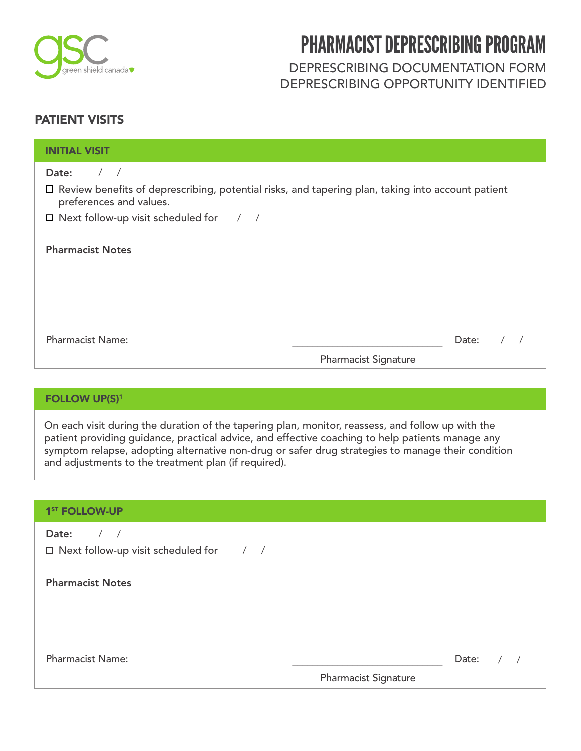

DEPRESCRIBING DOCUMENTATION FORM DEPRESCRIBING OPPORTUNITY IDENTIFIED

# PATIENT VISITS

| <b>INITIAL VISIT</b>                                                                                                           |                                      |
|--------------------------------------------------------------------------------------------------------------------------------|--------------------------------------|
| Date:<br>$\frac{1}{2}$                                                                                                         |                                      |
| □ Review benefits of deprescribing, potential risks, and tapering plan, taking into account patient<br>preferences and values. |                                      |
| $\Box$ Next follow-up visit scheduled for $\Box$                                                                               |                                      |
| <b>Pharmacist Notes</b>                                                                                                        |                                      |
| <b>Pharmacist Name:</b>                                                                                                        | Date:<br><b>Pharmacist Signature</b> |

### FOLLOW UP(S)<sup>1</sup>

On each visit during the duration of the tapering plan, monitor, reassess, and follow up with the patient providing guidance, practical advice, and effective coaching to help patients manage any symptom relapse, adopting alternative non-drug or safer drug strategies to manage their condition and adjustments to the treatment plan (if required).

| 1 <sup>ST</sup> FOLLOW-UP                                                  |                      |       |
|----------------------------------------------------------------------------|----------------------|-------|
| Date:<br>$\frac{1}{2}$<br>$\Box$ Next follow-up visit scheduled for $\Box$ |                      |       |
| <b>Pharmacist Notes</b>                                                    |                      |       |
|                                                                            |                      |       |
|                                                                            |                      |       |
| <b>Pharmacist Name:</b>                                                    |                      | Date: |
|                                                                            | Pharmacist Signature |       |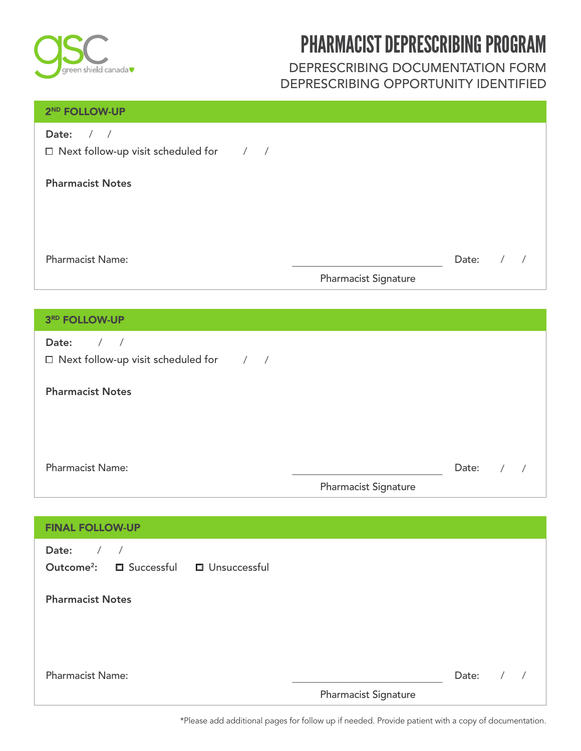

# DEPRESCRIBING DOCUMENTATION FORM DEPRESCRIBING OPPORTUNITY IDENTIFIED

### 2 ND FOLLOW-UP

| Date: |  |  |
|-------|--|--|
|       |  |  |

Next follow-up visit scheduled for  $\frac{1}{2}$ 

# Pharmacist Notes

Pharmacist Name:

\_\_\_\_\_\_\_\_\_\_\_\_\_\_\_\_\_\_\_\_\_\_\_\_\_\_\_\_\_\_ Date: / /

## Pharmacist Signature

### 3 RD FOLLOW-UP

| Date:<br>$\Box$ Next follow-up visit scheduled for $\Box$ |                             |       |  |
|-----------------------------------------------------------|-----------------------------|-------|--|
| <b>Pharmacist Notes</b>                                   |                             |       |  |
|                                                           |                             |       |  |
|                                                           |                             |       |  |
| <b>Pharmacist Name:</b>                                   |                             | Date: |  |
|                                                           | <b>Pharmacist Signature</b> |       |  |

| <b>FINAL FOLLOW-UP</b>                                                                                              |                      |       |  |
|---------------------------------------------------------------------------------------------------------------------|----------------------|-------|--|
| Date:<br>$\overline{\phantom{a}}$<br>$\overline{\phantom{a}}$<br>Outcome <sup>2</sup> : □ Successful □ Unsuccessful |                      |       |  |
| <b>Pharmacist Notes</b>                                                                                             |                      |       |  |
| <b>Pharmacist Name:</b>                                                                                             | Pharmacist Signature | Date: |  |

\*Please add additional pages for follow up if needed. Provide patient with a copy of documentation.